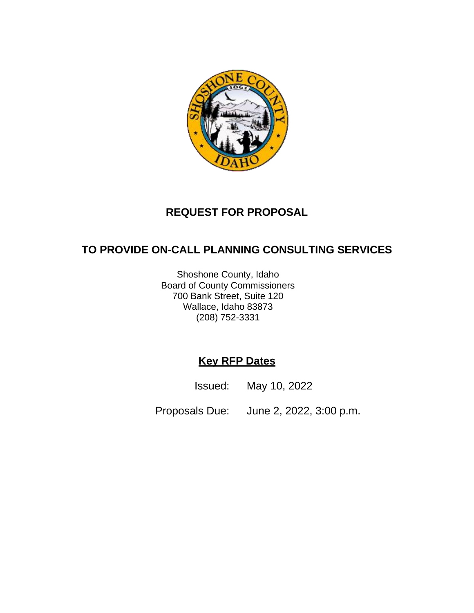

# **REQUEST FOR PROPOSAL**

# **TO PROVIDE ON-CALL PLANNING CONSULTING SERVICES**

Shoshone County, Idaho Board of County Commissioners 700 Bank Street, Suite 120 Wallace, Idaho 83873 (208) 752-3331

# **Key RFP Dates**

Issued: May 10, 2022

Proposals Due: June 2, 2022, 3:00 p.m.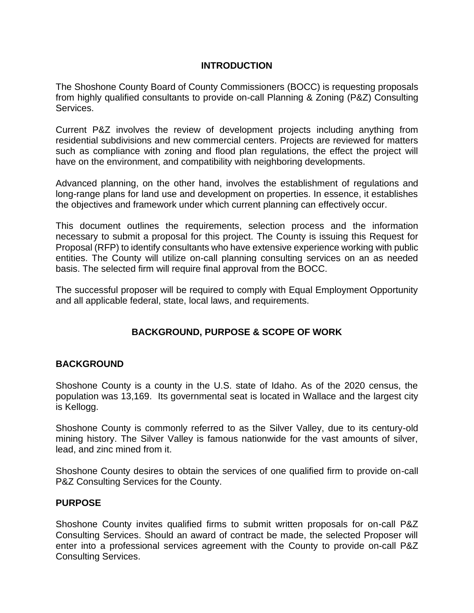### **INTRODUCTION**

The Shoshone County Board of County Commissioners (BOCC) is requesting proposals from highly qualified consultants to provide on-call Planning & Zoning (P&Z) Consulting Services.

Current P&Z involves the review of development projects including anything from residential subdivisions and new commercial centers. Projects are reviewed for matters such as compliance with zoning and flood plan regulations, the effect the project will have on the environment, and compatibility with neighboring developments.

Advanced planning, on the other hand, involves the establishment of regulations and long-range plans for land use and development on properties. In essence, it establishes the objectives and framework under which current planning can effectively occur.

This document outlines the requirements, selection process and the information necessary to submit a proposal for this project. The County is issuing this Request for Proposal (RFP) to identify consultants who have extensive experience working with public entities. The County will utilize on-call planning consulting services on an as needed basis. The selected firm will require final approval from the BOCC.

The successful proposer will be required to comply with Equal Employment Opportunity and all applicable federal, state, local laws, and requirements.

## **BACKGROUND, PURPOSE & SCOPE OF WORK**

### **BACKGROUND**

Shoshone County is a county in the U.S. state of Idaho. As of the 2020 census, the population was 13,169. Its governmental seat is located in Wallace and the largest city is Kellogg.

Shoshone County is commonly referred to as the Silver Valley, due to its century-old mining history. The Silver Valley is famous nationwide for the vast amounts of silver, lead, and zinc mined from it.

Shoshone County desires to obtain the services of one qualified firm to provide on-call P&Z Consulting Services for the County.

#### **PURPOSE**

Shoshone County invites qualified firms to submit written proposals for on-call P&Z Consulting Services. Should an award of contract be made, the selected Proposer will enter into a professional services agreement with the County to provide on-call P&Z Consulting Services.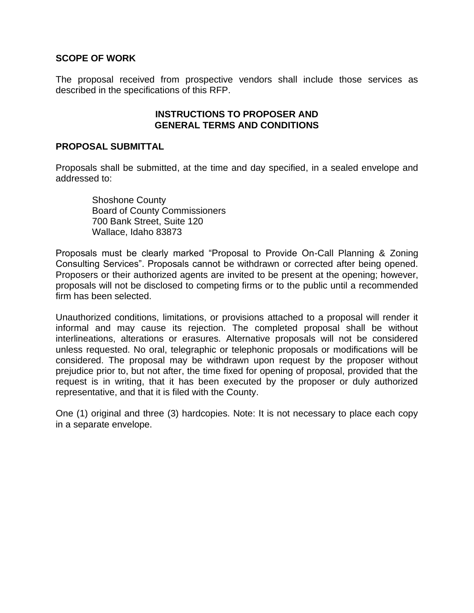#### **SCOPE OF WORK**

The proposal received from prospective vendors shall include those services as described in the specifications of this RFP.

#### **INSTRUCTIONS TO PROPOSER AND GENERAL TERMS AND CONDITIONS**

#### **PROPOSAL SUBMITTAL**

Proposals shall be submitted, at the time and day specified, in a sealed envelope and addressed to:

Shoshone County Board of County Commissioners 700 Bank Street, Suite 120 Wallace, Idaho 83873

Proposals must be clearly marked "Proposal to Provide On-Call Planning & Zoning Consulting Services". Proposals cannot be withdrawn or corrected after being opened. Proposers or their authorized agents are invited to be present at the opening; however, proposals will not be disclosed to competing firms or to the public until a recommended firm has been selected.

Unauthorized conditions, limitations, or provisions attached to a proposal will render it informal and may cause its rejection. The completed proposal shall be without interlineations, alterations or erasures. Alternative proposals will not be considered unless requested. No oral, telegraphic or telephonic proposals or modifications will be considered. The proposal may be withdrawn upon request by the proposer without prejudice prior to, but not after, the time fixed for opening of proposal, provided that the request is in writing, that it has been executed by the proposer or duly authorized representative, and that it is filed with the County.

One (1) original and three (3) hardcopies. Note: It is not necessary to place each copy in a separate envelope.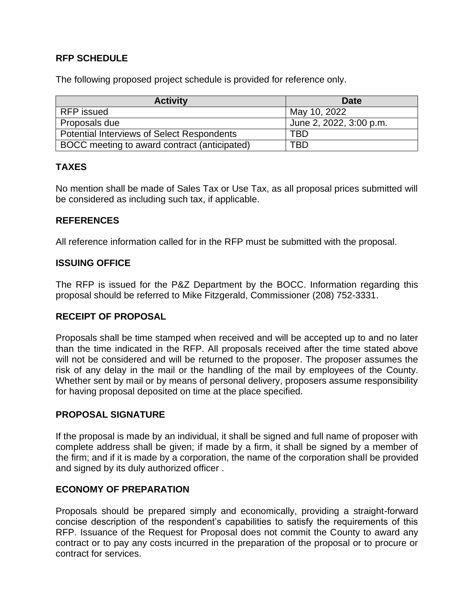### **RFP SCHEDULE**

The following proposed project schedule is provided for reference only.

| <b>Activity</b>                                   | Date                    |
|---------------------------------------------------|-------------------------|
| RFP issued                                        | May 10, 2022            |
| Proposals due                                     | June 2, 2022, 3:00 p.m. |
| <b>Potential Interviews of Select Respondents</b> | TRD                     |
| BOCC meeting to award contract (anticipated)      | TBD                     |

### **TAXES**

No mention shall be made of Sales Tax or Use Tax, as all proposal prices submitted will be considered as including such tax, if applicable.

### **REFERENCES**

All reference information called for in the RFP must be submitted with the proposal.

### **ISSUING OFFICE**

The RFP is issued for the P&Z Department by the BOCC. Information regarding this proposal should be referred to Mike Fitzgerald, Commissioner (208) 752-3331.

### **RECEIPT OF PROPOSAL**

Proposals shall be time stamped when received and will be accepted up to and no later than the time indicated in the RFP. All proposals received after the time stated above will not be considered and will be returned to the proposer. The proposer assumes the risk of any delay in the mail or the handling of the mail by employees of the County. Whether sent by mail or by means of personal delivery, proposers assume responsibility for having proposal deposited on time at the place specified.

### **PROPOSAL SIGNATURE**

If the proposal is made by an individual, it shall be signed and full name of proposer with complete address shall be given; if made by a firm, it shall be signed by a member of the firm; and if it is made by a corporation, the name of the corporation shall be provided and signed by its duly authorized officer .

### **ECONOMY OF PREPARATION**

Proposals should be prepared simply and economically, providing a straight-forward concise description of the respondent's capabilities to satisfy the requirements of this RFP. Issuance of the Request for Proposal does not commit the County to award any contract or to pay any costs incurred in the preparation of the proposal or to procure or contract for services.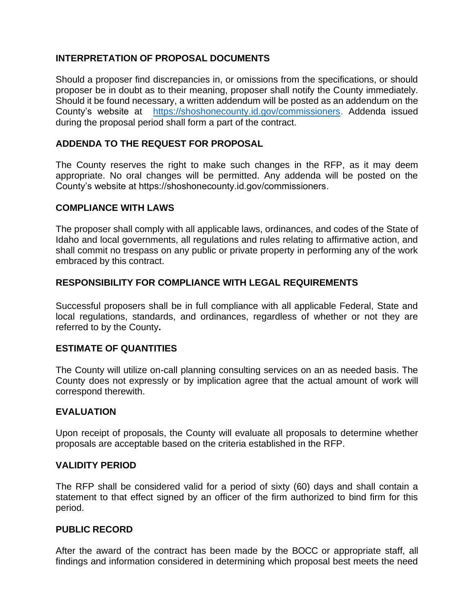### **INTERPRETATION OF PROPOSAL DOCUMENTS**

Should a proposer find discrepancies in, or omissions from the specifications, or should proposer be in doubt as to their meaning, proposer shall notify the County immediately. Should it be found necessary, a written addendum will be posted as an addendum on the County's website at [https://shoshonecounty.id.gov/commissioners.](https://www.norwalk.org/businesses/rfp-posts-list) Addenda issued during the proposal period shall form a part of the contract.

### **ADDENDA TO THE REQUEST FOR PROPOSAL**

The County reserves the right to make such changes in the RFP, as it may deem appropriate. No oral changes will be permitted. Any addenda will be posted on the County's website at https://shoshonecounty.id.gov/commissioners.

### **COMPLIANCE WITH LAWS**

The proposer shall comply with all applicable laws, ordinances, and codes of the State of Idaho and local governments, all regulations and rules relating to affirmative action, and shall commit no trespass on any public or private property in performing any of the work embraced by this contract.

### **RESPONSIBILITY FOR COMPLIANCE WITH LEGAL REQUIREMENTS**

Successful proposers shall be in full compliance with all applicable Federal, State and local regulations, standards, and ordinances, regardless of whether or not they are referred to by the County**.**

### **ESTIMATE OF QUANTITIES**

The County will utilize on-call planning consulting services on an as needed basis. The County does not expressly or by implication agree that the actual amount of work will correspond therewith.

### **EVALUATION**

Upon receipt of proposals, the County will evaluate all proposals to determine whether proposals are acceptable based on the criteria established in the RFP.

### **VALIDITY PERIOD**

The RFP shall be considered valid for a period of sixty (60) days and shall contain a statement to that effect signed by an officer of the firm authorized to bind firm for this period.

### **PUBLIC RECORD**

After the award of the contract has been made by the BOCC or appropriate staff, all findings and information considered in determining which proposal best meets the need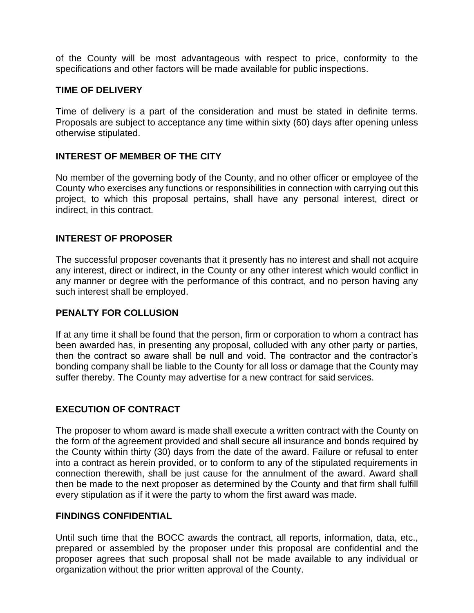of the County will be most advantageous with respect to price, conformity to the specifications and other factors will be made available for public inspections.

#### **TIME OF DELIVERY**

Time of delivery is a part of the consideration and must be stated in definite terms. Proposals are subject to acceptance any time within sixty (60) days after opening unless otherwise stipulated.

### **INTEREST OF MEMBER OF THE CITY**

No member of the governing body of the County, and no other officer or employee of the County who exercises any functions or responsibilities in connection with carrying out this project, to which this proposal pertains, shall have any personal interest, direct or indirect, in this contract.

### **INTEREST OF PROPOSER**

The successful proposer covenants that it presently has no interest and shall not acquire any interest, direct or indirect, in the County or any other interest which would conflict in any manner or degree with the performance of this contract, and no person having any such interest shall be employed.

### **PENALTY FOR COLLUSION**

If at any time it shall be found that the person, firm or corporation to whom a contract has been awarded has, in presenting any proposal, colluded with any other party or parties, then the contract so aware shall be null and void. The contractor and the contractor's bonding company shall be liable to the County for all loss or damage that the County may suffer thereby. The County may advertise for a new contract for said services.

## **EXECUTION OF CONTRACT**

The proposer to whom award is made shall execute a written contract with the County on the form of the agreement provided and shall secure all insurance and bonds required by the County within thirty (30) days from the date of the award. Failure or refusal to enter into a contract as herein provided, or to conform to any of the stipulated requirements in connection therewith, shall be just cause for the annulment of the award. Award shall then be made to the next proposer as determined by the County and that firm shall fulfill every stipulation as if it were the party to whom the first award was made.

### **FINDINGS CONFIDENTIAL**

Until such time that the BOCC awards the contract, all reports, information, data, etc., prepared or assembled by the proposer under this proposal are confidential and the proposer agrees that such proposal shall not be made available to any individual or organization without the prior written approval of the County.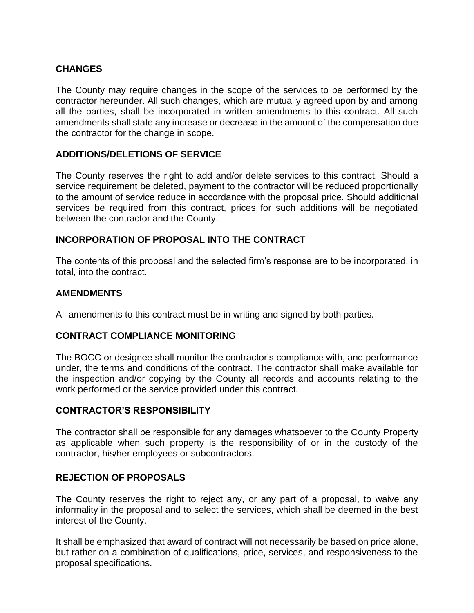### **CHANGES**

The County may require changes in the scope of the services to be performed by the contractor hereunder. All such changes, which are mutually agreed upon by and among all the parties, shall be incorporated in written amendments to this contract. All such amendments shall state any increase or decrease in the amount of the compensation due the contractor for the change in scope.

### **ADDITIONS/DELETIONS OF SERVICE**

The County reserves the right to add and/or delete services to this contract. Should a service requirement be deleted, payment to the contractor will be reduced proportionally to the amount of service reduce in accordance with the proposal price. Should additional services be required from this contract, prices for such additions will be negotiated between the contractor and the County.

### **INCORPORATION OF PROPOSAL INTO THE CONTRACT**

The contents of this proposal and the selected firm's response are to be incorporated, in total, into the contract.

#### **AMENDMENTS**

All amendments to this contract must be in writing and signed by both parties.

### **CONTRACT COMPLIANCE MONITORING**

The BOCC or designee shall monitor the contractor's compliance with, and performance under, the terms and conditions of the contract. The contractor shall make available for the inspection and/or copying by the County all records and accounts relating to the work performed or the service provided under this contract.

### **CONTRACTOR'S RESPONSIBILITY**

The contractor shall be responsible for any damages whatsoever to the County Property as applicable when such property is the responsibility of or in the custody of the contractor, his/her employees or subcontractors.

### **REJECTION OF PROPOSALS**

The County reserves the right to reject any, or any part of a proposal, to waive any informality in the proposal and to select the services, which shall be deemed in the best interest of the County.

It shall be emphasized that award of contract will not necessarily be based on price alone, but rather on a combination of qualifications, price, services, and responsiveness to the proposal specifications.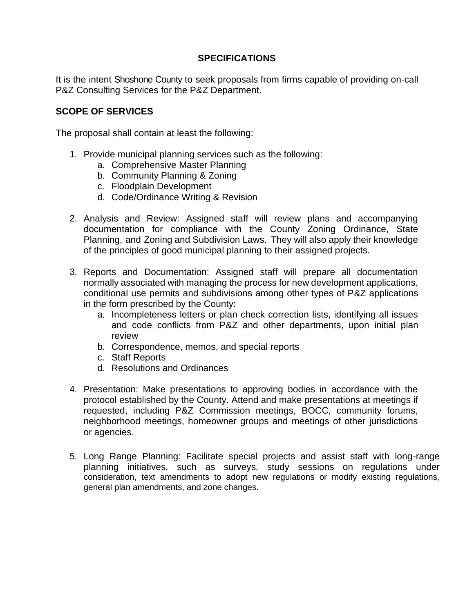### **SPECIFICATIONS**

It is the intent Shoshone County to seek proposals from firms capable of providing on-call P&Z Consulting Services for the P&Z Department.

### **SCOPE OF SERVICES**

The proposal shall contain at least the following:

- 1. Provide municipal planning services such as the following:
	- a. Comprehensive Master Planning
	- b. Community Planning & Zoning
	- c. Floodplain Development
	- d. Code/Ordinance Writing & Revision
- 2. Analysis and Review: Assigned staff will review plans and accompanying documentation for compliance with the County Zoning Ordinance, State Planning, and Zoning and Subdivision Laws. They will also apply their knowledge of the principles of good municipal planning to their assigned projects.
- 3. Reports and Documentation: Assigned staff will prepare all documentation normally associated with managing the process for new development applications, conditional use permits and subdivisions among other types of P&Z applications in the form prescribed by the County:
	- a. Incompleteness letters or plan check correction lists, identifying all issues and code conflicts from P&Z and other departments, upon initial plan review
	- b. Correspondence, memos, and special reports
	- c. Staff Reports
	- d. Resolutions and Ordinances
- 4. Presentation: Make presentations to approving bodies in accordance with the protocol established by the County. Attend and make presentations at meetings if requested, including P&Z Commission meetings, BOCC, community forums, neighborhood meetings, homeowner groups and meetings of other jurisdictions or agencies.
- 5. Long Range Planning: Facilitate special projects and assist staff with long-range planning initiatives, such as surveys, study sessions on regulations under consideration, text amendments to adopt new regulations or modify existing regulations, general plan amendments, and zone changes.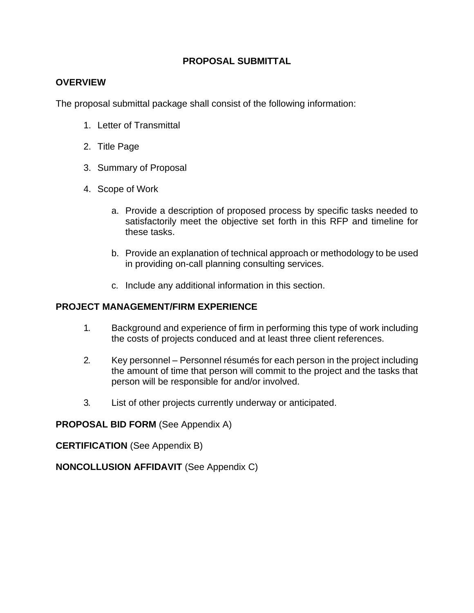### **PROPOSAL SUBMITTAL**

### **OVERVIEW**

The proposal submittal package shall consist of the following information:

- 1. Letter of Transmittal
- 2. Title Page
- 3. Summary of Proposal
- 4. Scope of Work
	- a. Provide a description of proposed process by specific tasks needed to satisfactorily meet the objective set forth in this RFP and timeline for these tasks.
	- b. Provide an explanation of technical approach or methodology to be used in providing on-call planning consulting services.
	- c. Include any additional information in this section.

### **PROJECT MANAGEMENT/FIRM EXPERIENCE**

- 1. Background and experience of firm in performing this type of work including the costs of projects conduced and at least three client references.
- 2. Key personnel Personnel résumés for each person in the project including the amount of time that person will commit to the project and the tasks that person will be responsible for and/or involved.
- 3. List of other projects currently underway or anticipated.

**PROPOSAL BID FORM** (See Appendix A)

**CERTIFICATION** (See Appendix B)

**NONCOLLUSION AFFIDAVIT** (See Appendix C)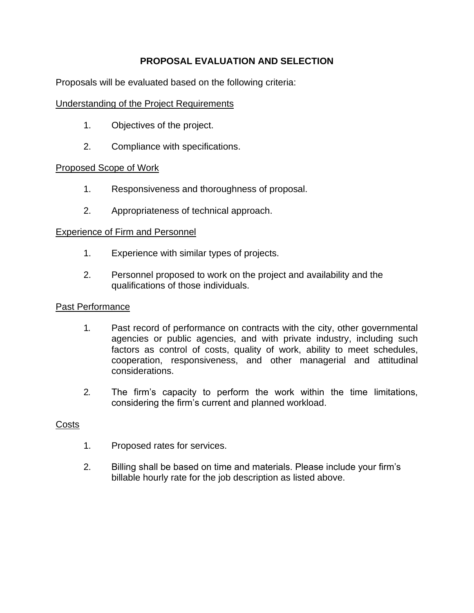# **PROPOSAL EVALUATION AND SELECTION**

Proposals will be evaluated based on the following criteria:

### Understanding of the Project Requirements

- 1. Objectives of the project.
- 2. Compliance with specifications.

### Proposed Scope of Work

- 1. Responsiveness and thoroughness of proposal.
- 2. Appropriateness of technical approach.

### Experience of Firm and Personnel

- 1. Experience with similar types of projects.
- 2. Personnel proposed to work on the project and availability and the qualifications of those individuals.

### Past Performance

- 1. Past record of performance on contracts with the city, other governmental agencies or public agencies, and with private industry, including such factors as control of costs, quality of work, ability to meet schedules, cooperation, responsiveness, and other managerial and attitudinal considerations.
- 2. The firm's capacity to perform the work within the time limitations, considering the firm's current and planned workload.

### **Costs**

- 1. Proposed rates for services.
- 2. Billing shall be based on time and materials. Please include your firm's billable hourly rate for the job description as listed above.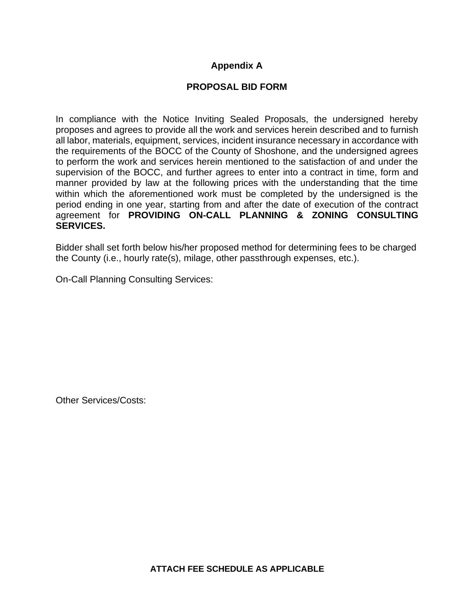# **Appendix A**

### **PROPOSAL BID FORM**

In compliance with the Notice Inviting Sealed Proposals, the undersigned hereby proposes and agrees to provide all the work and services herein described and to furnish all labor, materials, equipment, services, incident insurance necessary in accordance with the requirements of the BOCC of the County of Shoshone, and the undersigned agrees to perform the work and services herein mentioned to the satisfaction of and under the supervision of the BOCC, and further agrees to enter into a contract in time, form and manner provided by law at the following prices with the understanding that the time within which the aforementioned work must be completed by the undersigned is the period ending in one year, starting from and after the date of execution of the contract agreement for **PROVIDING ON-CALL PLANNING & ZONING CONSULTING SERVICES.**

Bidder shall set forth below his/her proposed method for determining fees to be charged the County (i.e., hourly rate(s), milage, other passthrough expenses, etc.).

On-Call Planning Consulting Services:

Other Services/Costs: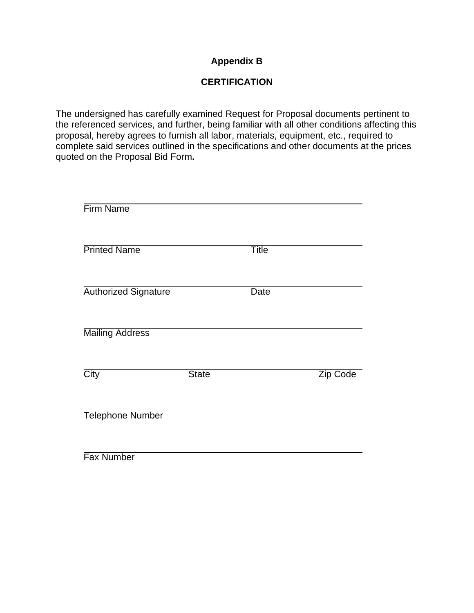## **Appendix B**

# **CERTIFICATION**

The undersigned has carefully examined Request for Proposal documents pertinent to the referenced services, and further, being familiar with all other conditions affecting this proposal, hereby agrees to furnish all labor, materials, equipment, etc., required to complete said services outlined in the specifications and other documents at the prices quoted on the Proposal Bid Form**.**

| <b>Firm Name</b>            |              |              |                 |
|-----------------------------|--------------|--------------|-----------------|
| <b>Printed Name</b>         |              | <b>Title</b> |                 |
| <b>Authorized Signature</b> |              | <b>Date</b>  |                 |
| <b>Mailing Address</b>      |              |              |                 |
| City                        | <b>State</b> |              | <b>Zip Code</b> |
| <b>Telephone Number</b>     |              |              |                 |
| <b>Fax Number</b>           |              |              |                 |